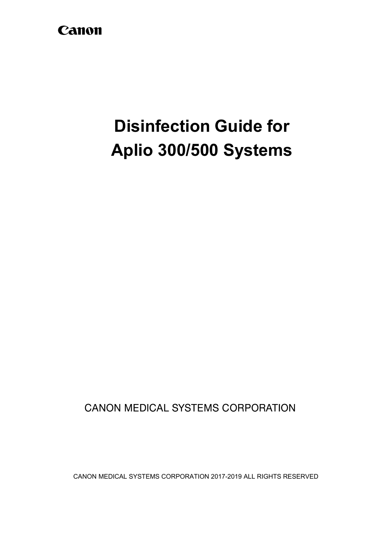# Canon

# **Disinfection Guide for Aplio 300/500 Systems**

**CANON MEDICAL SYSTEMS CORPORATION** 

CANON MEDICAL SYSTEMS CORPORATION 2017-2019 ALL RIGHTS RESERVED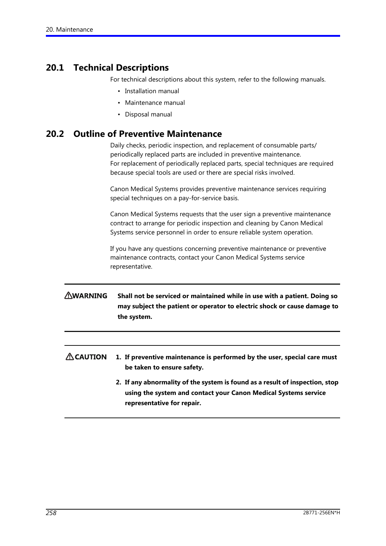# **20.1 Technical Descriptions**

For technical descriptions about this system, refer to the following manuals.

- Installation manual
- Maintenance manual
- Disposal manual

# **20.2 Outline of Preventive Maintenance**

Daily checks, periodic inspection, and replacement of consumable parts/ periodically replaced parts are included in preventive maintenance. For replacement of periodically replaced parts, special techniques are required because special tools are used or there are special risks involved.

Canon Medical Systems provides preventive maintenance services requiring special techniques on a pay-for-service basis.

Canon Medical Systems requests that the user sign a preventive maintenance contract to arrange for periodic inspection and cleaning by Canon Medical Systems service personnel in order to ensure reliable system operation.

If you have any questions concerning preventive maintenance or preventive maintenance contracts, contact your Canon Medical Systems service representative.

### **AWARNING Shall not be serviced or maintained while in use with a patient. Doing so may subject the patient or operator to electric shock or cause damage to the system.**

### $\Lambda$  CAUTION **1. If preventive maintenance is performed by the user, special care must be taken to ensure safety.**

**2. If any abnormality of the system is found as a result of inspection, stop using the system and contact your Canon Medical Systems service representative for repair.**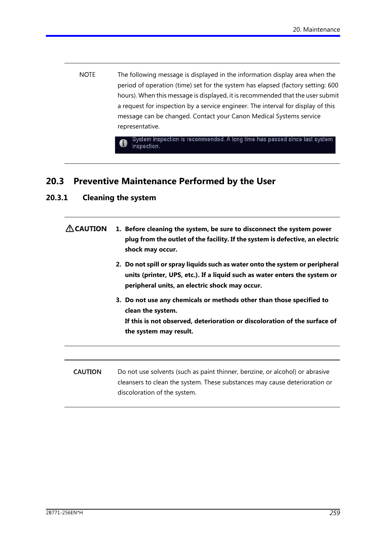**NOTE** The following message is displayed in the information display area when the period of operation (time) set for the system has elapsed (factory setting: 600 hours). When this message is displayed, it is recommended that the user submit a request for inspection by a service engineer. The interval for display of this message can be changed. Contact your Canon Medical Systems service representative.

> System inspection is recommended. A long time has passed since last system inspection.

# **20.3 Preventive Maintenance Performed by the User**

### **20.3.1 Cleaning the system**

| $\triangle$ CAUTION | 1. Before cleaning the system, be sure to disconnect the system power<br>plug from the outlet of the facility. If the system is defective, an electric<br>shock may occur.                                   |  |  |
|---------------------|--------------------------------------------------------------------------------------------------------------------------------------------------------------------------------------------------------------|--|--|
|                     | 2. Do not spill or spray liquids such as water onto the system or peripheral<br>units (printer, UPS, etc.). If a liquid such as water enters the system or<br>peripheral units, an electric shock may occur. |  |  |
|                     | 3. Do not use any chemicals or methods other than those specified to<br>clean the system.<br>If this is not observed, deterioration or discoloration of the surface of<br>the system may result.             |  |  |
|                     |                                                                                                                                                                                                              |  |  |
| <b>CAUTION</b>      | Do not use solvents (such as paint thinner, benzine, or alcohol) or abrasive<br>cleansers to clean the system. These substances may cause deterioration or<br>discoloration of the system.                   |  |  |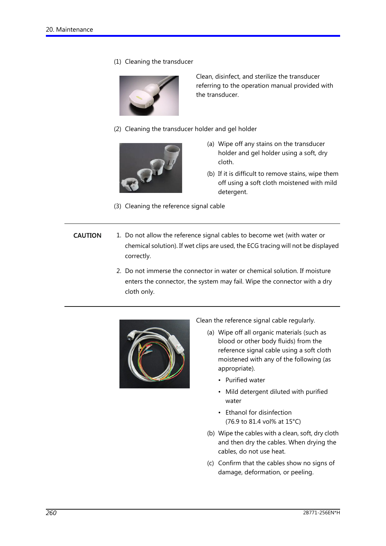(1) Cleaning the transducer



Clean, disinfect, and sterilize the transducer referring to the operation manual provided with the transducer.

(2) Cleaning the transducer holder and gel holder



(a) Wipe off any stains on the transducer holder and gel holder using a soft, dry cloth.

- (b) If it is difficult to remove stains, wipe them off using a soft cloth moistened with mild detergent.
- (3) Cleaning the reference signal cable
- **CAUTION** 1. Do not allow the reference signal cables to become wet (with water or chemical solution). If wet clips are used, the ECG tracing will not be displayed correctly.
	- 2. Do not immerse the connector in water or chemical solution. If moisture enters the connector, the system may fail. Wipe the connector with a dry cloth only.



Clean the reference signal cable regularly.

- (a) Wipe off all organic materials (such as blood or other body fluids) from the reference signal cable using a soft cloth moistened with any of the following (as appropriate).
	- Purified water
	- Mild detergent diluted with purified water
	- Ethanol for disinfection (76.9 to 81.4 vol% at 15°C)
- (b) Wipe the cables with a clean, soft, dry cloth and then dry the cables. When drying the cables, do not use heat.
- (c) Confirm that the cables show no signs of damage, deformation, or peeling.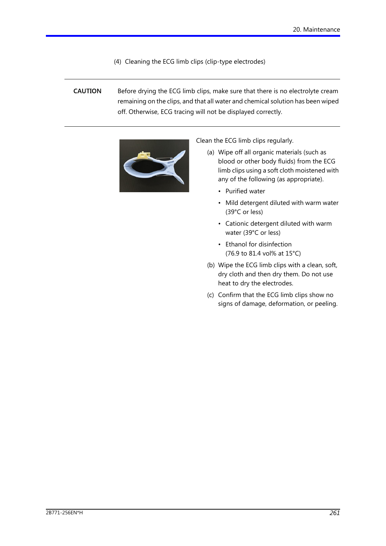(4) Cleaning the ECG limb clips (clip-type electrodes)

**CAUTION** Before drying the ECG limb clips, make sure that there is no electrolyte cream remaining on the clips, and that all water and chemical solution has been wiped off. Otherwise, ECG tracing will not be displayed correctly.



Clean the ECG limb clips regularly.

- blood or other body fluids) from the ECG<br>limb clips using a soft cloth moistened with (a) Wipe off all organic materials (such as limb clips using a soft cloth moistened with any of the following (as appropriate).
	- Purified water
	- Mild detergent diluted with warm water (39°C or less)
	- Cationic detergent diluted with warm water (39°C or less)
	- Ethanol for disinfection (76.9 to 81.4 vol% at 15°C)
	- (b) Wipe the ECG limb clips with a clean, soft, dry cloth and then dry them. Do not use heat to dry the electrodes.
	- (c) Confirm that the ECG limb clips show no signs of damage, deformation, or peeling.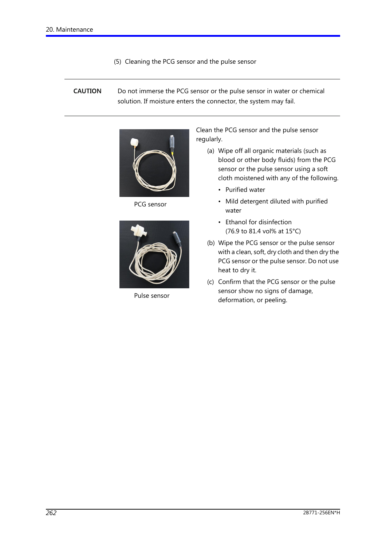- (5) Cleaning the PCG sensor and the pulse sensor
- **CAUTION** Do not immerse the PCG sensor or the pulse sensor in water or chemical solution. If moisture enters the connector, the system may fail.



PCG sensor



Pulse sensor

Clean the PCG sensor and the pulse sensor regularly.

- (a) Wipe off all organic materials (such as blood or other body fluids) from the PCG sensor or the pulse sensor using a soft cloth moistened with any of the following.
	- Purified water
	- Mild detergent diluted with purified water
	- Ethanol for disinfection (76.9 to 81.4 vol% at 15°C)
- (b) Wipe the PCG sensor or the pulse sensor with a clean, soft, dry cloth and then dry the PCG sensor or the pulse sensor. Do not use heat to dry it.
- (c) Confirm that the PCG sensor or the pulse sensor show no signs of damage, deformation, or peeling.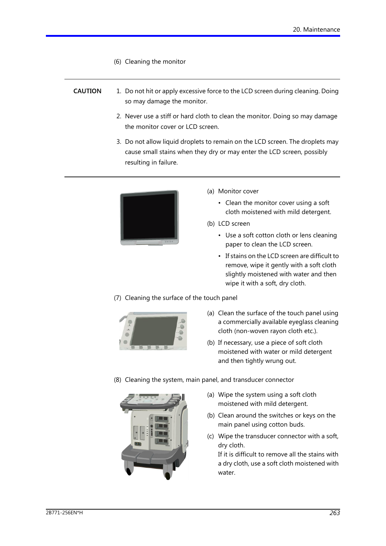(6) Cleaning the monitor

### **CAUTION** 1. Do not hit or apply excessive force to the LCD screen during cleaning. Doing so may damage the monitor.

- 2. Never use a stiff or hard cloth to clean the monitor. Doing so may damage the monitor cover or LCD screen.
- 3. Do not allow liquid droplets to remain on the LCD screen. The droplets may cause small stains when they dry or may enter the LCD screen, possibly resulting in failure.



- (a) Monitor cover
	- Clean the monitor cover using a soft cloth moistened with mild detergent.
- (b) LCD screen
	- Use a soft cotton cloth or lens cleaning paper to clean the LCD screen.
	- If stains on the LCD screen are difficult to remove, wipe it gently with a soft cloth slightly moistened with water and then wipe it with a soft, dry cloth.
- (7) Cleaning the surface of the touch panel



- (a) Clean the surface of the touch panel using a commercially available eyeglass cleaning cloth (non-woven rayon cloth etc.).
- (b) If necessary, use a piece of soft cloth moistened with water or mild detergent and then tightly wrung out.
- (8) Cleaning the system, main panel, and transducer connector



- (a) Wipe the system using a soft cloth moistened with mild detergent.
- (b) Clean around the switches or keys on the main panel using cotton buds.
- (c) Wipe the transducer connector with a soft, dry cloth.

If it is difficult to remove all the stains with a dry cloth, use a soft cloth moistened with water.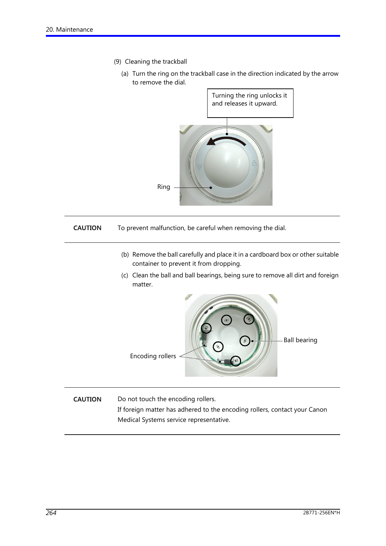- (9) Cleaning the trackball
	- (a) Turn the ring on the trackball case in the direction indicated by the arrow to remove the dial.



#### **CAUTION** To prevent malfunction, be careful when removing the dial.

- (b) Remove the ball carefully and place it in a cardboard box or other suitable container to prevent it from dropping.
- (c) Clean the ball and ball bearings, being sure to remove all dirt and foreign matter.



**CAUTION** Do not touch the encoding rollers. If foreign matter has adhered to the encoding rollers, contact your Canon Medical Systems service representative.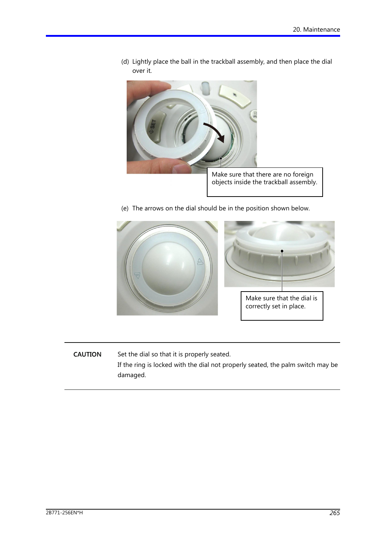

(d) Lightly place the ball in the trackball assembly, and then place the dial

- 
- V (e) The arrows on the dial should be in the position shown below.



**CAUTION** Set the dial so that it is properly seated.

> If the ring is locked with the dial not properly seated, the palm switch may be damaged.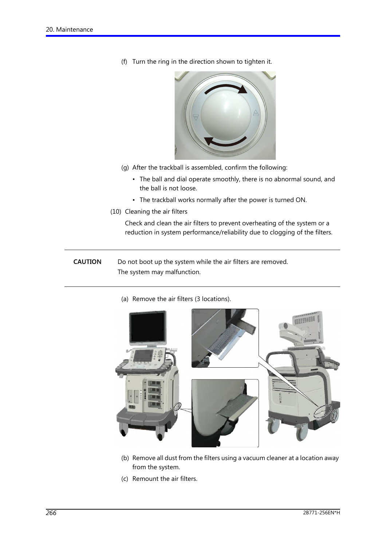(f) Turn the ring in the direction shown to tighten it.



- (g) After the trackball is assembled, confirm the following:
	- The ball and dial operate smoothly, there is no abnormal sound, and the ball is not loose.
	- The trackball works normally after the power is turned ON.
- (10) Cleaning the air filters

Check and clean the air filters to prevent overheating of the system or a reduction in system performance/reliability due to clogging of the filters.

### **CAUTION** Do not boot up the system while the air filters are removed. The system may malfunction.

(a) Remove the air filters (3 locations).



- (b) Remove all dust from the filters using a vacuum cleaner at a location away from the system.
- (c) Remount the air filters.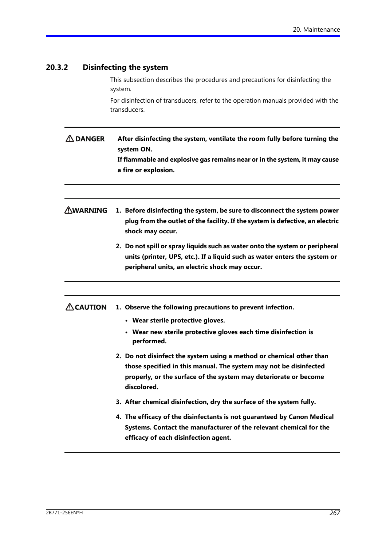## **20.3.2 Disinfecting the system**

This subsection describes the procedures and precautions for disinfecting the system.

For disinfection of transducers, refer to the operation manuals provided with the transducers.

- **ADANGER After disinfecting the system, ventilate the room fully before turning the system ON. If flammable and explosive gas remains near or in the system, it may cause a fire or explosion.**
- **AWARNING 1. Before disinfecting the system, be sure to disconnect the system power plug from the outlet of the facility. If the system is defective, an electric shock may occur.**
	- **2. Do not spill or spray liquids such as water onto the system or peripheral units (printer, UPS, etc.). If a liquid such as water enters the system or peripheral units, an electric shock may occur.**

#### $\triangle$  CAUTION **1. Observe the following precautions to prevent infection.**

- **Wear sterile protective gloves.**
- **Wear new sterile protective gloves each time disinfection is performed.**
- **2. Do not disinfect the system using a method or chemical other than those specified in this manual. The system may not be disinfected properly, or the surface of the system may deteriorate or become discolored.**
- **3. After chemical disinfection, dry the surface of the system fully.**
- **4. The efficacy of the disinfectants is not guaranteed by Canon Medical Systems. Contact the manufacturer of the relevant chemical for the efficacy of each disinfection agent.**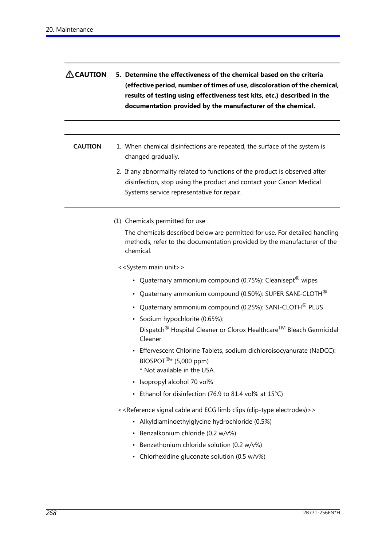| $\Lambda$ CAUTION | 5. Determine the effectiveness of the chemical based on the criteria      |
|-------------------|---------------------------------------------------------------------------|
|                   | (effective period, number of times of use, discoloration of the chemical, |
|                   | results of testing using effectiveness test kits, etc.) described in the  |
|                   | documentation provided by the manufacturer of the chemical.               |

### **CAUTION** 1. When chemical disinfections are repeated, the surface of the system is changed gradually.

- 2. If any abnormality related to functions of the product is observed after disinfection, stop using the product and contact your Canon Medical Systems service representative for repair.
- (1) Chemicals permitted for use

The chemicals described below are permitted for use. For detailed handling methods, refer to the documentation provided by the manufacturer of the chemical.

<<System main unit>>

- Quaternary ammonium compound (0.75%): Cleanisept<sup>®</sup> wipes
- Quaternary ammonium compound (0.50%): SUPER SANI-CLOTH $^{\circledR}$
- Quaternary ammonium compound (0.25%): SANI-CLOTH<sup>®</sup> PLUS
- Sodium hypochlorite (0.65%): Dispatch<sup>®</sup> Hospital Cleaner or Clorox Healthcare™ Bleach Germicidal Cleaner
- Effervescent Chlorine Tablets, sodium dichloroisocyanurate (NaDCC): BIOSPOT $\mathbb{R}^*$  (5,000 ppm)
	- \* Not available in the USA.
- Isopropyl alcohol 70 vol%
- Ethanol for disinfection (76.9 to 81.4 vol% at 15°C)

<<Reference signal cable and ECG limb clips (clip-type electrodes)>>

- Alkyldiaminoethylglycine hydrochloride (0.5%)
- Benzalkonium chloride (0.2 w/v%)
- Benzethonium chloride solution (0.2 w/v%)
- Chlorhexidine gluconate solution (0.5 w/v%)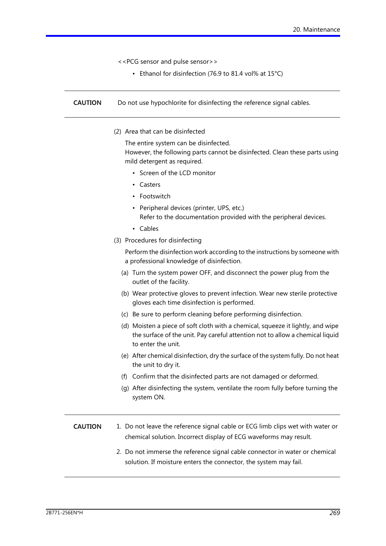<<PCG sensor and pulse sensor>>

• Ethanol for disinfection (76.9 to 81.4 vol% at 15°C)

**CAUTION** Do not use hypochlorite for disinfecting the reference signal cables.

(2) Area that can be disinfected

The entire system can be disinfected.

However, the following parts cannot be disinfected. Clean these parts using mild detergent as required.

- Screen of the LCD monitor
- Casters
- Footswitch
- Peripheral devices (printer, UPS, etc.) Refer to the documentation provided with the peripheral devices.
- Cables
- (3) Procedures for disinfecting

Perform the disinfection work according to the instructions by someone with a professional knowledge of disinfection.

- (a) Turn the system power OFF, and disconnect the power plug from the outlet of the facility.
- (b) Wear protective gloves to prevent infection. Wear new sterile protective gloves each time disinfection is performed.
- (c) Be sure to perform cleaning before performing disinfection.
- (d) Moisten a piece of soft cloth with a chemical, squeeze it lightly, and wipe the surface of the unit. Pay careful attention not to allow a chemical liquid to enter the unit.
- (e) After chemical disinfection, dry the surface of the system fully. Do not heat the unit to dry it.
- (f) Confirm that the disinfected parts are not damaged or deformed.
- (g) After disinfecting the system, ventilate the room fully before turning the system ON.

**CAUTION** 1. Do not leave the reference signal cable or ECG limb clips wet with water or chemical solution. Incorrect display of ECG waveforms may result.

> 2. Do not immerse the reference signal cable connector in water or chemical solution. If moisture enters the connector, the system may fail.